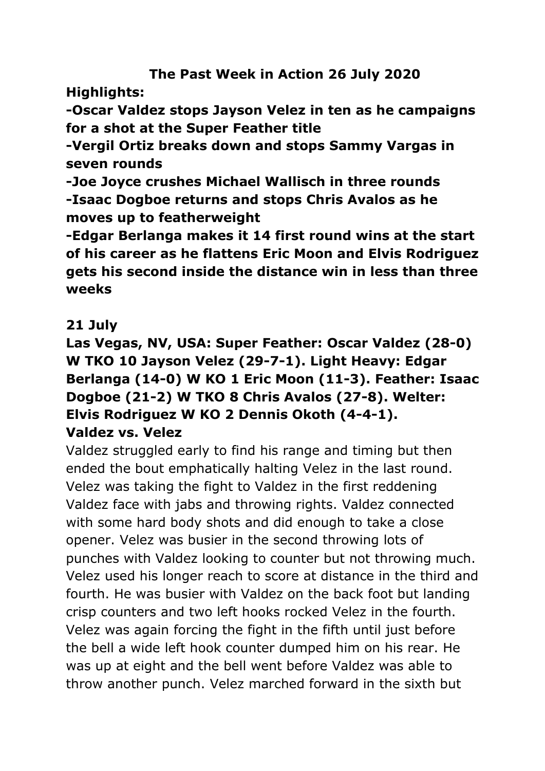## **The Past Week in Action 26 July 2020**

## **Highlights:**

**-Oscar Valdez stops Jayson Velez in ten as he campaigns for a shot at the Super Feather title**

**-Vergil Ortiz breaks down and stops Sammy Vargas in seven rounds**

**-Joe Joyce crushes Michael Wallisch in three rounds -Isaac Dogboe returns and stops Chris Avalos as he moves up to featherweight**

**-Edgar Berlanga makes it 14 first round wins at the start of his career as he flattens Eric Moon and Elvis Rodriguez gets his second inside the distance win in less than three weeks**

### **21 July**

### **Las Vegas, NV, USA: Super Feather: Oscar Valdez (28-0) W TKO 10 Jayson Velez (29-7-1). Light Heavy: Edgar Berlanga (14-0) W KO 1 Eric Moon (11-3). Feather: Isaac Dogboe (21-2) W TKO 8 Chris Avalos (27-8). Welter: Elvis Rodriguez W KO 2 Dennis Okoth (4-4-1). Valdez vs. Velez**

Valdez struggled early to find his range and timing but then ended the bout emphatically halting Velez in the last round. Velez was taking the fight to Valdez in the first reddening Valdez face with jabs and throwing rights. Valdez connected with some hard body shots and did enough to take a close opener. Velez was busier in the second throwing lots of punches with Valdez looking to counter but not throwing much. Velez used his longer reach to score at distance in the third and fourth. He was busier with Valdez on the back foot but landing crisp counters and two left hooks rocked Velez in the fourth. Velez was again forcing the fight in the fifth until just before the bell a wide left hook counter dumped him on his rear. He was up at eight and the bell went before Valdez was able to throw another punch. Velez marched forward in the sixth but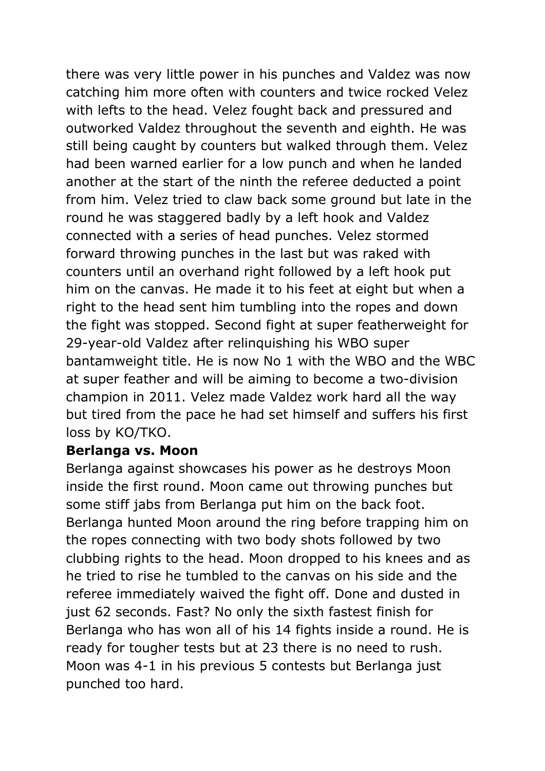there was very little power in his punches and Valdez was now catching him more often with counters and twice rocked Velez with lefts to the head. Velez fought back and pressured and outworked Valdez throughout the seventh and eighth. He was still being caught by counters but walked through them. Velez had been warned earlier for a low punch and when he landed another at the start of the ninth the referee deducted a point from him. Velez tried to claw back some ground but late in the round he was staggered badly by a left hook and Valdez connected with a series of head punches. Velez stormed forward throwing punches in the last but was raked with counters until an overhand right followed by a left hook put him on the canvas. He made it to his feet at eight but when a right to the head sent him tumbling into the ropes and down the fight was stopped. Second fight at super featherweight for 29-year-old Valdez after relinquishing his WBO super bantamweight title. He is now No 1 with the WBO and the WBC at super feather and will be aiming to become a two-division champion in 2011. Velez made Valdez work hard all the way but tired from the pace he had set himself and suffers his first loss by KO/TKO.

#### **Berlanga vs. Moon**

Berlanga against showcases his power as he destroys Moon inside the first round. Moon came out throwing punches but some stiff jabs from Berlanga put him on the back foot. Berlanga hunted Moon around the ring before trapping him on the ropes connecting with two body shots followed by two clubbing rights to the head. Moon dropped to his knees and as he tried to rise he tumbled to the canvas on his side and the referee immediately waived the fight off. Done and dusted in just 62 seconds. Fast? No only the sixth fastest finish for Berlanga who has won all of his 14 fights inside a round. He is ready for tougher tests but at 23 there is no need to rush. Moon was 4-1 in his previous 5 contests but Berlanga just punched too hard.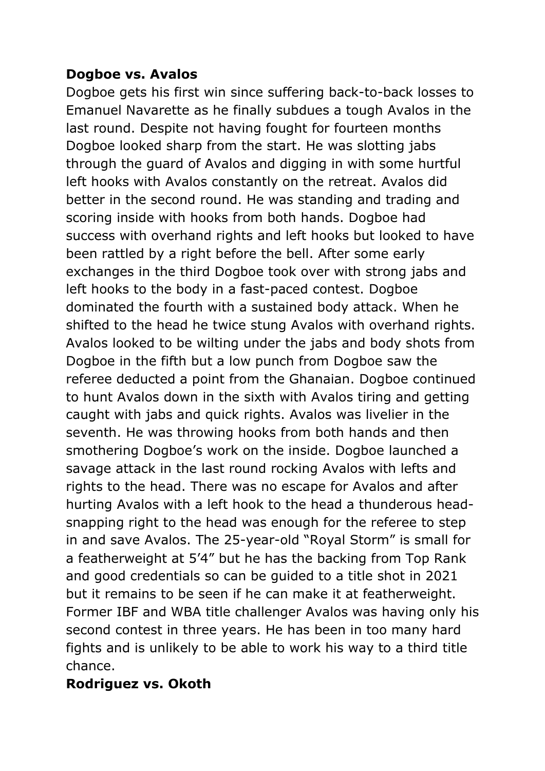#### **Dogboe vs. Avalos**

Dogboe gets his first win since suffering back-to-back losses to Emanuel Navarette as he finally subdues a tough Avalos in the last round. Despite not having fought for fourteen months Dogboe looked sharp from the start. He was slotting jabs through the guard of Avalos and digging in with some hurtful left hooks with Avalos constantly on the retreat. Avalos did better in the second round. He was standing and trading and scoring inside with hooks from both hands. Dogboe had success with overhand rights and left hooks but looked to have been rattled by a right before the bell. After some early exchanges in the third Dogboe took over with strong jabs and left hooks to the body in a fast-paced contest. Dogboe dominated the fourth with a sustained body attack. When he shifted to the head he twice stung Avalos with overhand rights. Avalos looked to be wilting under the jabs and body shots from Dogboe in the fifth but a low punch from Dogboe saw the referee deducted a point from the Ghanaian. Dogboe continued to hunt Avalos down in the sixth with Avalos tiring and getting caught with jabs and quick rights. Avalos was livelier in the seventh. He was throwing hooks from both hands and then smothering Dogboe's work on the inside. Dogboe launched a savage attack in the last round rocking Avalos with lefts and rights to the head. There was no escape for Avalos and after hurting Avalos with a left hook to the head a thunderous headsnapping right to the head was enough for the referee to step in and save Avalos. The 25-year-old "Royal Storm" is small for a featherweight at 5'4" but he has the backing from Top Rank and good credentials so can be guided to a title shot in 2021 but it remains to be seen if he can make it at featherweight. Former IBF and WBA title challenger Avalos was having only his second contest in three years. He has been in too many hard fights and is unlikely to be able to work his way to a third title chance.

#### **Rodriguez vs. Okoth**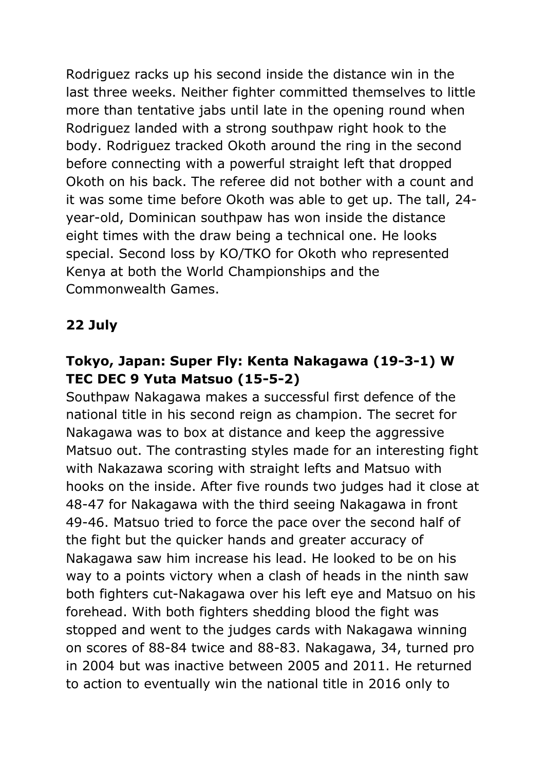Rodriguez racks up his second inside the distance win in the last three weeks. Neither fighter committed themselves to little more than tentative jabs until late in the opening round when Rodriguez landed with a strong southpaw right hook to the body. Rodriguez tracked Okoth around the ring in the second before connecting with a powerful straight left that dropped Okoth on his back. The referee did not bother with a count and it was some time before Okoth was able to get up. The tall, 24 year-old, Dominican southpaw has won inside the distance eight times with the draw being a technical one. He looks special. Second loss by KO/TKO for Okoth who represented Kenya at both the World Championships and the Commonwealth Games.

## **22 July**

## **Tokyo, Japan: Super Fly: Kenta Nakagawa (19-3-1) W TEC DEC 9 Yuta Matsuo (15-5-2)**

Southpaw Nakagawa makes a successful first defence of the national title in his second reign as champion. The secret for Nakagawa was to box at distance and keep the aggressive Matsuo out. The contrasting styles made for an interesting fight with Nakazawa scoring with straight lefts and Matsuo with hooks on the inside. After five rounds two judges had it close at 48-47 for Nakagawa with the third seeing Nakagawa in front 49-46. Matsuo tried to force the pace over the second half of the fight but the quicker hands and greater accuracy of Nakagawa saw him increase his lead. He looked to be on his way to a points victory when a clash of heads in the ninth saw both fighters cut-Nakagawa over his left eye and Matsuo on his forehead. With both fighters shedding blood the fight was stopped and went to the judges cards with Nakagawa winning on scores of 88-84 twice and 88-83. Nakagawa, 34, turned pro in 2004 but was inactive between 2005 and 2011. He returned to action to eventually win the national title in 2016 only to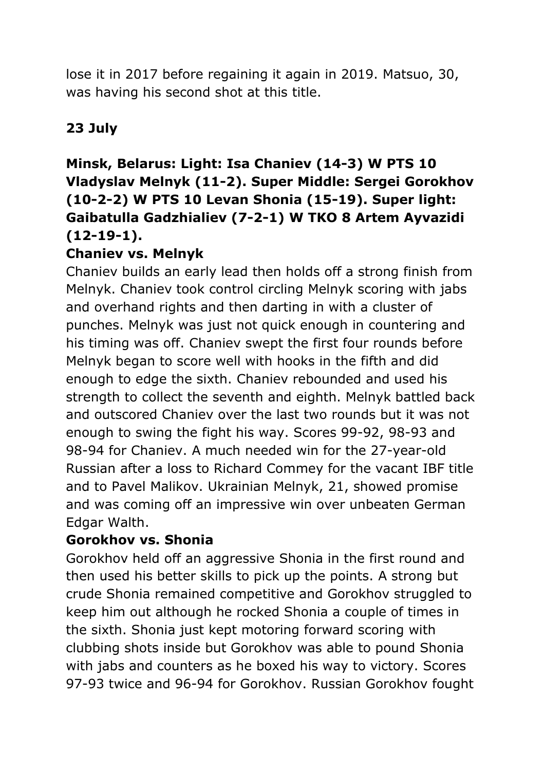lose it in 2017 before regaining it again in 2019. Matsuo, 30, was having his second shot at this title.

# **23 July**

## **Minsk, Belarus: Light: Isa Chaniev (14-3) W PTS 10 Vladyslav Melnyk (11-2). Super Middle: Sergei Gorokhov (10-2-2) W PTS 10 Levan Shonia (15-19). Super light: Gaibatulla Gadzhialiev (7-2-1) W TKO 8 Artem Ayvazidi (12-19-1).**

### **Chaniev vs. Melnyk**

Chaniev builds an early lead then holds off a strong finish from Melnyk. Chaniev took control circling Melnyk scoring with jabs and overhand rights and then darting in with a cluster of punches. Melnyk was just not quick enough in countering and his timing was off. Chaniev swept the first four rounds before Melnyk began to score well with hooks in the fifth and did enough to edge the sixth. Chaniev rebounded and used his strength to collect the seventh and eighth. Melnyk battled back and outscored Chaniev over the last two rounds but it was not enough to swing the fight his way. Scores 99-92, 98-93 and 98-94 for Chaniev. A much needed win for the 27-year-old Russian after a loss to Richard Commey for the vacant IBF title and to Pavel Malikov. Ukrainian Melnyk, 21, showed promise and was coming off an impressive win over unbeaten German Edgar Walth.

#### **Gorokhov vs. Shonia**

Gorokhov held off an aggressive Shonia in the first round and then used his better skills to pick up the points. A strong but crude Shonia remained competitive and Gorokhov struggled to keep him out although he rocked Shonia a couple of times in the sixth. Shonia just kept motoring forward scoring with clubbing shots inside but Gorokhov was able to pound Shonia with jabs and counters as he boxed his way to victory. Scores 97-93 twice and 96-94 for Gorokhov. Russian Gorokhov fought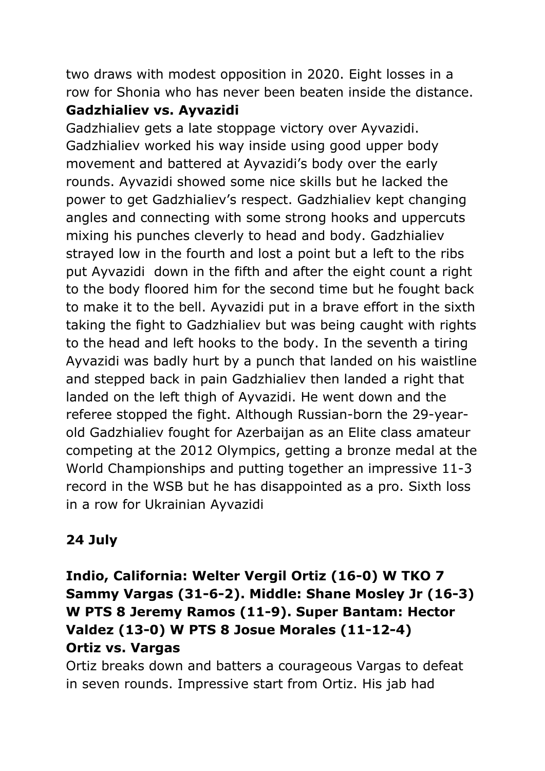two draws with modest opposition in 2020. Eight losses in a row for Shonia who has never been beaten inside the distance.

### **Gadzhialiev vs. Ayvazidi**

Gadzhialiev gets a late stoppage victory over Ayvazidi. Gadzhialiev worked his way inside using good upper body movement and battered at Ayvazidi's body over the early rounds. Ayvazidi showed some nice skills but he lacked the power to get Gadzhialiev's respect. Gadzhialiev kept changing angles and connecting with some strong hooks and uppercuts mixing his punches cleverly to head and body. Gadzhialiev strayed low in the fourth and lost a point but a left to the ribs put Ayvazidi down in the fifth and after the eight count a right to the body floored him for the second time but he fought back to make it to the bell. Ayvazidi put in a brave effort in the sixth taking the fight to Gadzhialiev but was being caught with rights to the head and left hooks to the body. In the seventh a tiring Ayvazidi was badly hurt by a punch that landed on his waistline and stepped back in pain Gadzhialiev then landed a right that landed on the left thigh of Ayvazidi. He went down and the referee stopped the fight. Although Russian-born the 29-yearold Gadzhialiev fought for Azerbaijan as an Elite class amateur competing at the 2012 Olympics, getting a bronze medal at the World Championships and putting together an impressive 11-3 record in the WSB but he has disappointed as a pro. Sixth loss in a row for Ukrainian Ayvazidi

# **24 July**

**Indio, California: Welter Vergil Ortiz (16-0) W TKO 7 Sammy Vargas (31-6-2). Middle: Shane Mosley Jr (16-3) W PTS 8 Jeremy Ramos (11-9). Super Bantam: Hector Valdez (13-0) W PTS 8 Josue Morales (11-12-4) Ortiz vs. Vargas**

Ortiz breaks down and batters a courageous Vargas to defeat in seven rounds. Impressive start from Ortiz. His jab had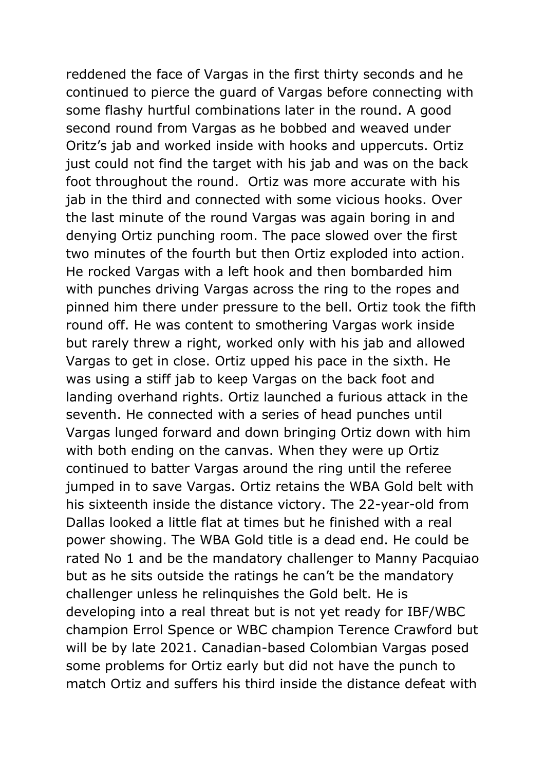reddened the face of Vargas in the first thirty seconds and he continued to pierce the guard of Vargas before connecting with some flashy hurtful combinations later in the round. A good second round from Vargas as he bobbed and weaved under Oritz's jab and worked inside with hooks and uppercuts. Ortiz just could not find the target with his jab and was on the back foot throughout the round. Ortiz was more accurate with his jab in the third and connected with some vicious hooks. Over the last minute of the round Vargas was again boring in and denying Ortiz punching room. The pace slowed over the first two minutes of the fourth but then Ortiz exploded into action. He rocked Vargas with a left hook and then bombarded him with punches driving Vargas across the ring to the ropes and pinned him there under pressure to the bell. Ortiz took the fifth round off. He was content to smothering Vargas work inside but rarely threw a right, worked only with his jab and allowed Vargas to get in close. Ortiz upped his pace in the sixth. He was using a stiff jab to keep Vargas on the back foot and landing overhand rights. Ortiz launched a furious attack in the seventh. He connected with a series of head punches until Vargas lunged forward and down bringing Ortiz down with him with both ending on the canvas. When they were up Ortiz continued to batter Vargas around the ring until the referee jumped in to save Vargas. Ortiz retains the WBA Gold belt with his sixteenth inside the distance victory. The 22-year-old from Dallas looked a little flat at times but he finished with a real power showing. The WBA Gold title is a dead end. He could be rated No 1 and be the mandatory challenger to Manny Pacquiao but as he sits outside the ratings he can't be the mandatory challenger unless he relinquishes the Gold belt. He is developing into a real threat but is not yet ready for IBF/WBC champion Errol Spence or WBC champion Terence Crawford but will be by late 2021. Canadian-based Colombian Vargas posed some problems for Ortiz early but did not have the punch to match Ortiz and suffers his third inside the distance defeat with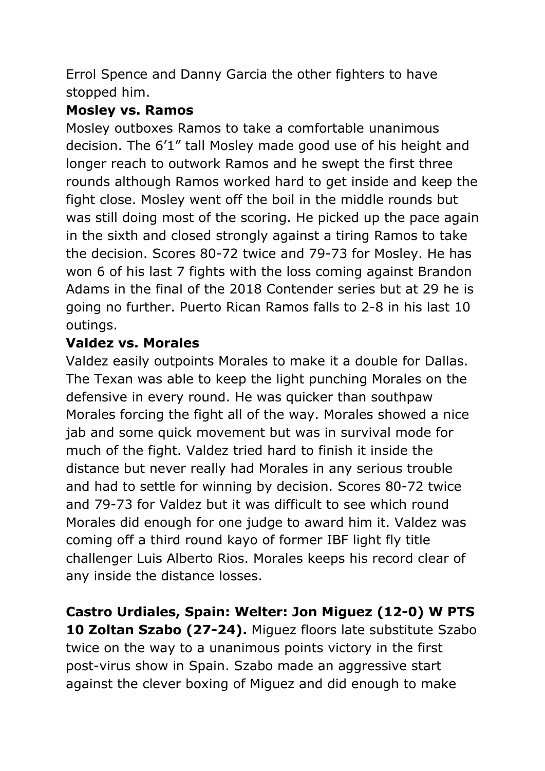Errol Spence and Danny Garcia the other fighters to have stopped him.

### **Mosley vs. Ramos**

Mosley outboxes Ramos to take a comfortable unanimous decision. The 6'1" tall Mosley made good use of his height and longer reach to outwork Ramos and he swept the first three rounds although Ramos worked hard to get inside and keep the fight close. Mosley went off the boil in the middle rounds but was still doing most of the scoring. He picked up the pace again in the sixth and closed strongly against a tiring Ramos to take the decision. Scores 80-72 twice and 79-73 for Mosley. He has won 6 of his last 7 fights with the loss coming against Brandon Adams in the final of the 2018 Contender series but at 29 he is going no further. Puerto Rican Ramos falls to 2-8 in his last 10 outings.

### **Valdez vs. Morales**

Valdez easily outpoints Morales to make it a double for Dallas. The Texan was able to keep the light punching Morales on the defensive in every round. He was quicker than southpaw Morales forcing the fight all of the way. Morales showed a nice jab and some quick movement but was in survival mode for much of the fight. Valdez tried hard to finish it inside the distance but never really had Morales in any serious trouble and had to settle for winning by decision. Scores 80-72 twice and 79-73 for Valdez but it was difficult to see which round Morales did enough for one judge to award him it. Valdez was coming off a third round kayo of former IBF light fly title challenger Luis Alberto Rios. Morales keeps his record clear of any inside the distance losses.

**Castro Urdiales, Spain: Welter: Jon Miguez (12-0) W PTS 10 Zoltan Szabo (27-24).** Miguez floors late substitute Szabo twice on the way to a unanimous points victory in the first post-virus show in Spain. Szabo made an aggressive start against the clever boxing of Miguez and did enough to make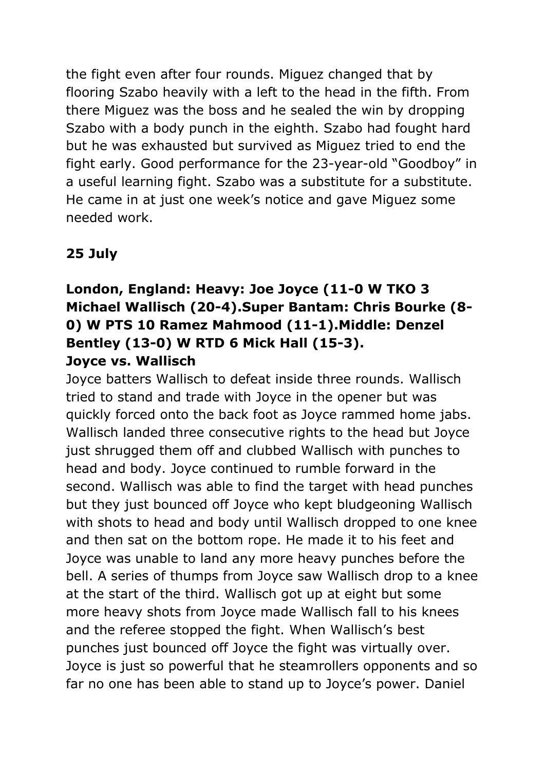the fight even after four rounds. Miguez changed that by flooring Szabo heavily with a left to the head in the fifth. From there Miguez was the boss and he sealed the win by dropping Szabo with a body punch in the eighth. Szabo had fought hard but he was exhausted but survived as Miguez tried to end the fight early. Good performance for the 23-year-old "Goodboy" in a useful learning fight. Szabo was a substitute for a substitute. He came in at just one week's notice and gave Miguez some needed work.

### **25 July**

## **London, England: Heavy: Joe Joyce (11-0 W TKO 3 Michael Wallisch (20-4).Super Bantam: Chris Bourke (8- 0) W PTS 10 Ramez Mahmood (11-1).Middle: Denzel Bentley (13-0) W RTD 6 Mick Hall (15-3). Joyce vs. Wallisch**

Joyce batters Wallisch to defeat inside three rounds. Wallisch tried to stand and trade with Joyce in the opener but was quickly forced onto the back foot as Joyce rammed home jabs. Wallisch landed three consecutive rights to the head but Joyce just shrugged them off and clubbed Wallisch with punches to head and body. Joyce continued to rumble forward in the second. Wallisch was able to find the target with head punches but they just bounced off Joyce who kept bludgeoning Wallisch with shots to head and body until Wallisch dropped to one knee and then sat on the bottom rope. He made it to his feet and Joyce was unable to land any more heavy punches before the bell. A series of thumps from Joyce saw Wallisch drop to a knee at the start of the third. Wallisch got up at eight but some more heavy shots from Joyce made Wallisch fall to his knees and the referee stopped the fight. When Wallisch's best punches just bounced off Joyce the fight was virtually over. Joyce is just so powerful that he steamrollers opponents and so far no one has been able to stand up to Joyce's power. Daniel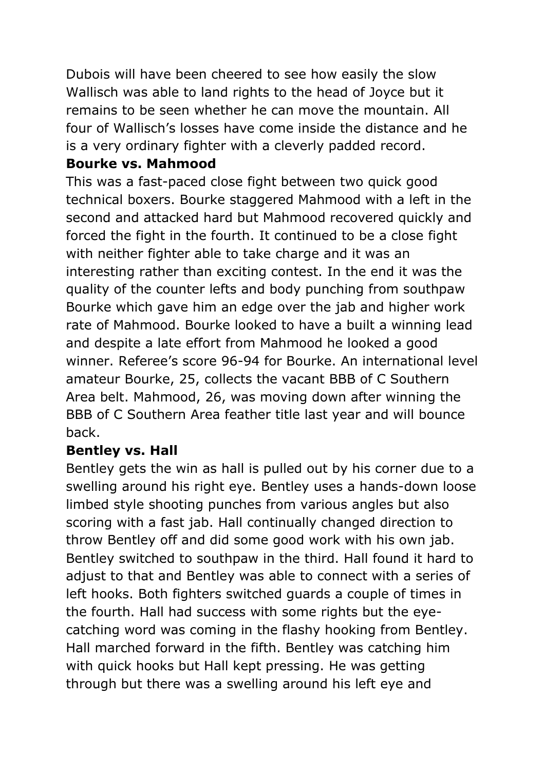Dubois will have been cheered to see how easily the slow Wallisch was able to land rights to the head of Joyce but it remains to be seen whether he can move the mountain. All four of Wallisch's losses have come inside the distance and he is a very ordinary fighter with a cleverly padded record.

### **Bourke vs. Mahmood**

This was a fast-paced close fight between two quick good technical boxers. Bourke staggered Mahmood with a left in the second and attacked hard but Mahmood recovered quickly and forced the fight in the fourth. It continued to be a close fight with neither fighter able to take charge and it was an interesting rather than exciting contest. In the end it was the quality of the counter lefts and body punching from southpaw Bourke which gave him an edge over the jab and higher work rate of Mahmood. Bourke looked to have a built a winning lead and despite a late effort from Mahmood he looked a good winner. Referee's score 96-94 for Bourke. An international level amateur Bourke, 25, collects the vacant BBB of C Southern Area belt. Mahmood, 26, was moving down after winning the BBB of C Southern Area feather title last year and will bounce back.

### **Bentley vs. Hall**

Bentley gets the win as hall is pulled out by his corner due to a swelling around his right eye. Bentley uses a hands-down loose limbed style shooting punches from various angles but also scoring with a fast jab. Hall continually changed direction to throw Bentley off and did some good work with his own jab. Bentley switched to southpaw in the third. Hall found it hard to adjust to that and Bentley was able to connect with a series of left hooks. Both fighters switched guards a couple of times in the fourth. Hall had success with some rights but the eyecatching word was coming in the flashy hooking from Bentley. Hall marched forward in the fifth. Bentley was catching him with quick hooks but Hall kept pressing. He was getting through but there was a swelling around his left eye and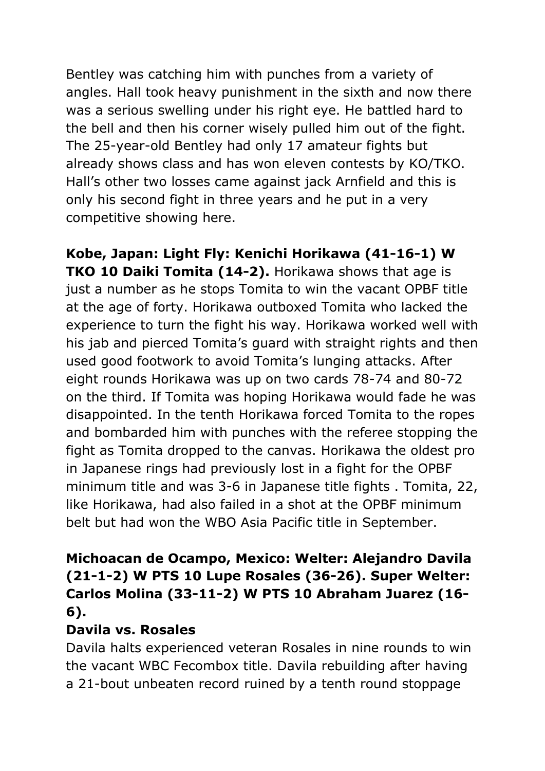Bentley was catching him with punches from a variety of angles. Hall took heavy punishment in the sixth and now there was a serious swelling under his right eye. He battled hard to the bell and then his corner wisely pulled him out of the fight. The 25-year-old Bentley had only 17 amateur fights but already shows class and has won eleven contests by KO/TKO. Hall's other two losses came against jack Arnfield and this is only his second fight in three years and he put in a very competitive showing here.

**Kobe, Japan: Light Fly: Kenichi Horikawa (41-16-1) W TKO 10 Daiki Tomita (14-2).** Horikawa shows that age is just a number as he stops Tomita to win the vacant OPBF title at the age of forty. Horikawa outboxed Tomita who lacked the experience to turn the fight his way. Horikawa worked well with his jab and pierced Tomita's guard with straight rights and then used good footwork to avoid Tomita's lunging attacks. After eight rounds Horikawa was up on two cards 78-74 and 80-72 on the third. If Tomita was hoping Horikawa would fade he was disappointed. In the tenth Horikawa forced Tomita to the ropes and bombarded him with punches with the referee stopping the fight as Tomita dropped to the canvas. Horikawa the oldest pro in Japanese rings had previously lost in a fight for the OPBF minimum title and was 3-6 in Japanese title fights . Tomita, 22, like Horikawa, had also failed in a shot at the OPBF minimum belt but had won the WBO Asia Pacific title in September.

### **Michoacan de Ocampo, Mexico: Welter: Alejandro Davila (21-1-2) W PTS 10 Lupe Rosales (36-26). Super Welter: Carlos Molina (33-11-2) W PTS 10 Abraham Juarez (16- 6).**

#### **Davila vs. Rosales**

Davila halts experienced veteran Rosales in nine rounds to win the vacant WBC Fecombox title. Davila rebuilding after having a 21-bout unbeaten record ruined by a tenth round stoppage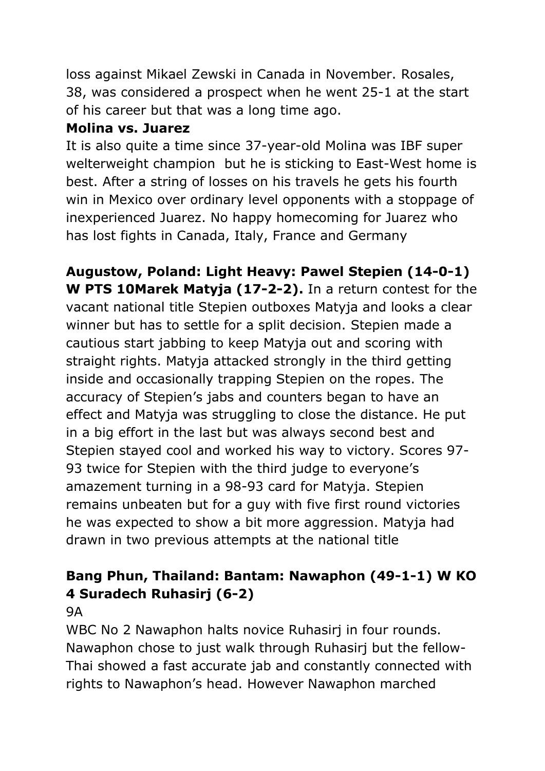loss against Mikael Zewski in Canada in November. Rosales, 38, was considered a prospect when he went 25-1 at the start of his career but that was a long time ago.

### **Molina vs. Juarez**

It is also quite a time since 37-year-old Molina was IBF super welterweight champion but he is sticking to East-West home is best. After a string of losses on his travels he gets his fourth win in Mexico over ordinary level opponents with a stoppage of inexperienced Juarez. No happy homecoming for Juarez who has lost fights in Canada, Italy, France and Germany

**Augustow, Poland: Light Heavy: Pawel Stepien (14-0-1) W PTS 10Marek Matyja (17-2-2).** In a return contest for the vacant national title Stepien outboxes Matyja and looks a clear winner but has to settle for a split decision. Stepien made a cautious start jabbing to keep Matyja out and scoring with straight rights. Matyja attacked strongly in the third getting inside and occasionally trapping Stepien on the ropes. The accuracy of Stepien's jabs and counters began to have an effect and Matyja was struggling to close the distance. He put in a big effort in the last but was always second best and Stepien stayed cool and worked his way to victory. Scores 97- 93 twice for Stepien with the third judge to everyone's amazement turning in a 98-93 card for Matyja. Stepien remains unbeaten but for a guy with five first round victories he was expected to show a bit more aggression. Matyja had drawn in two previous attempts at the national title

## **Bang Phun, Thailand: Bantam: Nawaphon (49-1-1) W KO 4 Suradech Ruhasirj (6-2)**

### 9A

WBC No 2 Nawaphon halts novice Ruhasirj in four rounds. Nawaphon chose to just walk through Ruhasirj but the fellow-Thai showed a fast accurate jab and constantly connected with rights to Nawaphon's head. However Nawaphon marched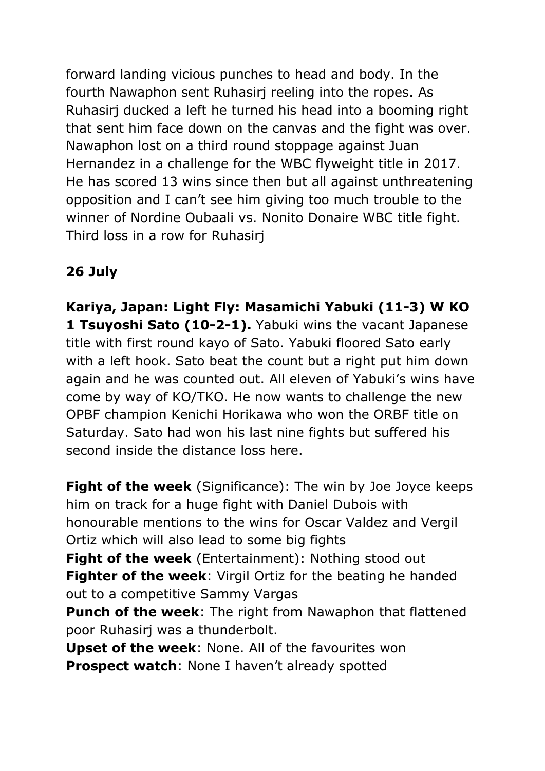forward landing vicious punches to head and body. In the fourth Nawaphon sent Ruhasirj reeling into the ropes. As Ruhasirj ducked a left he turned his head into a booming right that sent him face down on the canvas and the fight was over. Nawaphon lost on a third round stoppage against Juan Hernandez in a challenge for the WBC flyweight title in 2017. He has scored 13 wins since then but all against unthreatening opposition and I can't see him giving too much trouble to the winner of Nordine Oubaali vs. Nonito Donaire WBC title fight. Third loss in a row for Ruhasirj

# **26 July**

**Kariya, Japan: Light Fly: Masamichi Yabuki (11-3) W KO 1 Tsuyoshi Sato (10-2-1).** Yabuki wins the vacant Japanese title with first round kayo of Sato. Yabuki floored Sato early with a left hook. Sato beat the count but a right put him down again and he was counted out. All eleven of Yabuki's wins have come by way of KO/TKO. He now wants to challenge the new OPBF champion Kenichi Horikawa who won the ORBF title on Saturday. Sato had won his last nine fights but suffered his second inside the distance loss here.

**Fight of the week** (Significance): The win by Joe Joyce keeps him on track for a huge fight with Daniel Dubois with honourable mentions to the wins for Oscar Valdez and Vergil Ortiz which will also lead to some big fights **Fight of the week** (Entertainment): Nothing stood out **Fighter of the week**: Virgil Ortiz for the beating he handed out to a competitive Sammy Vargas

**Punch of the week**: The right from Nawaphon that flattened poor Ruhasirj was a thunderbolt.

**Upset of the week**: None. All of the favourites won **Prospect watch**: None I haven't already spotted